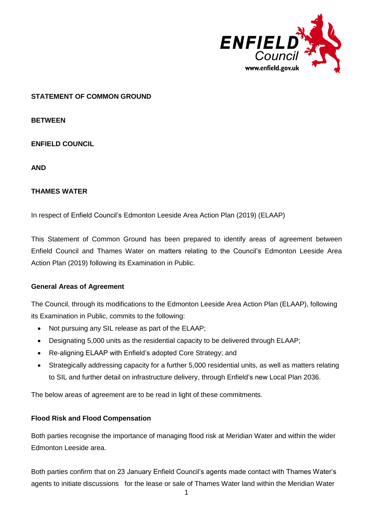

## **STATEMENT OF COMMON GROUND**

**BETWEEN**

**ENFIELD COUNCIL** 

**AND**

#### **THAMES WATER**

In respect of Enfield Council's Edmonton Leeside Area Action Plan (2019) (ELAAP)

This Statement of Common Ground has been prepared to identify areas of agreement between Enfield Council and Thames Water on matters relating to the Council's Edmonton Leeside Area Action Plan (2019) following its Examination in Public.

## **General Areas of Agreement**

The Council, through its modifications to the Edmonton Leeside Area Action Plan (ELAAP), following its Examination in Public, commits to the following:

- Not pursuing any SIL release as part of the ELAAP;
- Designating 5,000 units as the residential capacity to be delivered through ELAAP;
- Re-aligning ELAAP with Enfield's adopted Core Strategy; and
- Strategically addressing capacity for a further 5,000 residential units, as well as matters relating to SIL and further detail on infrastructure delivery, through Enfield's new Local Plan 2036.

The below areas of agreement are to be read in light of these commitments.

## **Flood Risk and Flood Compensation**

Both parties recognise the importance of managing flood risk at Meridian Water and within the wider Edmonton Leeside area.

Both parties confirm that on 23 January Enfield Council's agents made contact with Thames Water's agents to initiate discussions for the lease or sale of Thames Water land within the Meridian Water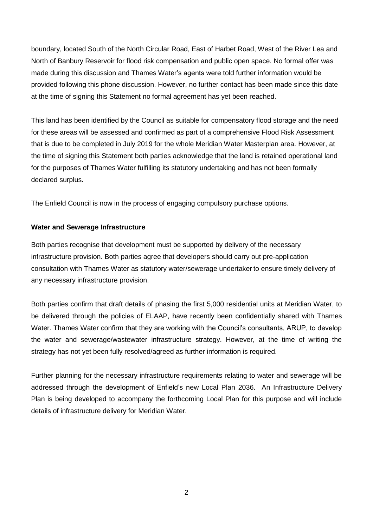boundary, located South of the North Circular Road, East of Harbet Road, West of the River Lea and North of Banbury Reservoir for flood risk compensation and public open space. No formal offer was made during this discussion and Thames Water's agents were told further information would be provided following this phone discussion. However, no further contact has been made since this date at the time of signing this Statement no formal agreement has yet been reached.

This land has been identified by the Council as suitable for compensatory flood storage and the need for these areas will be assessed and confirmed as part of a comprehensive Flood Risk Assessment that is due to be completed in July 2019 for the whole Meridian Water Masterplan area. However, at the time of signing this Statement both parties acknowledge that the land is retained operational land for the purposes of Thames Water fulfilling its statutory undertaking and has not been formally declared surplus.

The Enfield Council is now in the process of engaging compulsory purchase options.

#### **Water and Sewerage Infrastructure**

Both parties recognise that development must be supported by delivery of the necessary infrastructure provision. Both parties agree that developers should carry out pre-application consultation with Thames Water as statutory water/sewerage undertaker to ensure timely delivery of any necessary infrastructure provision.

Both parties confirm that draft details of phasing the first 5,000 residential units at Meridian Water, to be delivered through the policies of ELAAP, have recently been confidentially shared with Thames Water. Thames Water confirm that they are working with the Council's consultants, ARUP, to develop the water and sewerage/wastewater infrastructure strategy. However, at the time of writing the strategy has not yet been fully resolved/agreed as further information is required.

Further planning for the necessary infrastructure requirements relating to water and sewerage will be addressed through the development of Enfield's new Local Plan 2036. An Infrastructure Delivery Plan is being developed to accompany the forthcoming Local Plan for this purpose and will include details of infrastructure delivery for Meridian Water.